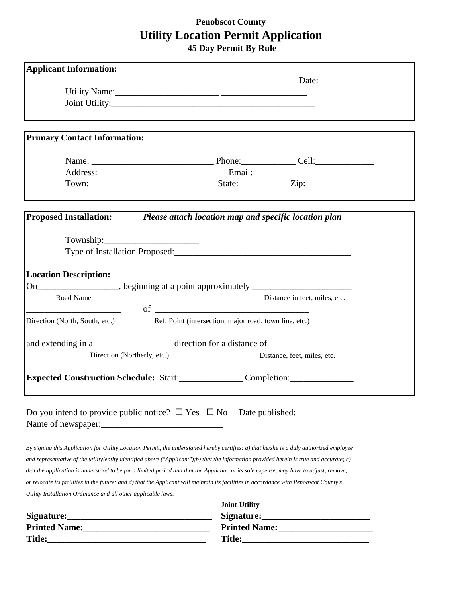## **Penobscot County Utility Location Permit Application**

 **45 Day Permit By Rule**

| <b>Applicant Information:</b>                                 |                                                                                                                                          |
|---------------------------------------------------------------|------------------------------------------------------------------------------------------------------------------------------------------|
|                                                               |                                                                                                                                          |
|                                                               |                                                                                                                                          |
|                                                               |                                                                                                                                          |
| <b>Primary Contact Information:</b>                           |                                                                                                                                          |
|                                                               |                                                                                                                                          |
|                                                               |                                                                                                                                          |
|                                                               |                                                                                                                                          |
|                                                               |                                                                                                                                          |
|                                                               | Proposed Installation: Please attach location map and specific location plan                                                             |
|                                                               |                                                                                                                                          |
|                                                               | Type of Installation Proposed:                                                                                                           |
| <b>Location Description:</b>                                  |                                                                                                                                          |
|                                                               | On___________________, beginning at a point approximately ______________________                                                         |
| Road Name                                                     | Distance in feet, miles, etc.                                                                                                            |
| Direction (North, South, etc.)                                | Ref. Point (intersection, major road, town line, etc.)                                                                                   |
|                                                               |                                                                                                                                          |
| Direction (Northerly, etc.)                                   | Distance, feet, miles, etc.                                                                                                              |
|                                                               | Expected Construction Schedule: Start:_______________Completion:________________                                                         |
|                                                               |                                                                                                                                          |
|                                                               | Do you intend to provide public notice? $\Box$ Yes $\Box$ No Date published:                                                             |
|                                                               |                                                                                                                                          |
|                                                               | By signing this Application for Utility Location Permit, the undersigned hereby certifies: a) that he/she is a duly authorized employee  |
|                                                               | and representative of the utility/entity identified above ("Applicant");b) that the information provided herein is true and accurate; c) |
|                                                               | that the application is understood to be for a limited period and that the Applicant, at its sole expense, may have to adjust, remove,   |
|                                                               | or relocate its facilities in the future; and d) that the Applicant will maintain its facilities in accordance with Penobscot County's   |
| Utility Installation Ordinance and all other applicable laws. |                                                                                                                                          |
|                                                               | <b>Joint Utility</b>                                                                                                                     |
|                                                               |                                                                                                                                          |
|                                                               |                                                                                                                                          |
|                                                               |                                                                                                                                          |